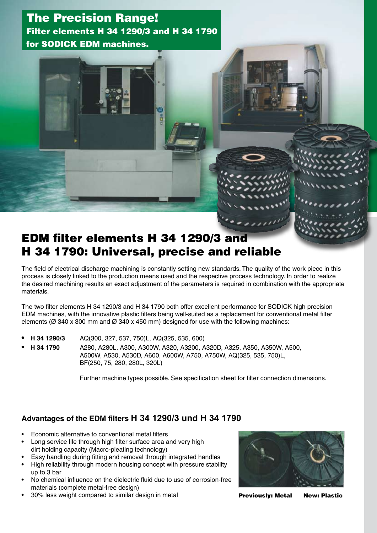## The Precision Range! Filter elements H 34 1290/3 and H 34 1790 for SODICK EDM machines.

# EDM filter elements H 34 1290/3 and H 34 1790: Universal, precise and reliable

The field of electrical discharge machining is constantly setting new standards. The quality of the work piece in this process is closely linked to the production means used and the respective process technology. In order to realize the desired machining results an exact adjustment of the parameters is required in combination with the appropriate materials.

The two filter elements H 34 1290/3 and H 34 1790 both offer excellent performance for SODICK high precision EDM machines, with the innovative plastic filters being well-suited as a replacement for conventional metal filter elements ( $\varnothing$  340 x 300 mm and  $\varnothing$  340 x 450 mm) designed for use with the following machines:

- **H 34 1290/3** AQ(300, 327, 537, 750)L, AQ(325, 535, 600)
- **H 34 1790** A280, A280L, A300, A300W, A320, A3200, A320D, A325, A350, A350W, A500, A500W, A530, A530D, A600, A600W, A750, A750W, AQ(325, 535, 750)L, BF(250, 75, 280, 280L, 320L)

Further machine types possible. See specification sheet for filter connection dimensions.

### **Advantages of the EDM filters H 34 1290/3 und H 34 1790**

- Economic alternative to conventional metal filters
- Long service life through high filter surface area and very high dirt holding capacity (Macro-pleating technology)
- Easy handling during fitting and removal through integrated handles
- High reliability through modern housing concept with pressure stability up to 3 bar
- No chemical influence on the dielectric fluid due to use of corrosion-free materials (complete metal-free design)
- 30% less weight compared to similar design in metal



Previously: Metal New: Plastic